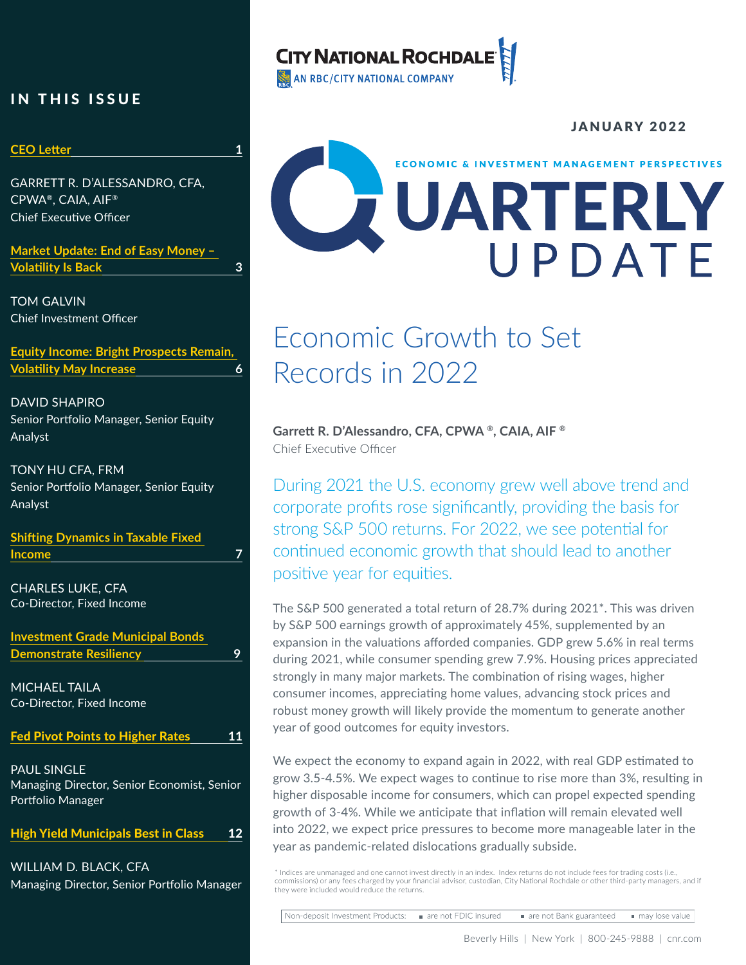### IN THIS ISSUE

### **CEO Letter 1**

GARRETT R. D'ALESSANDRO, CFA, CPWA®, CAIA, AIF® Chief Executive Officer

**Market Update: End of Easy Money – Volatility Is Back 3**

TOM GALVIN Chief Investment Officer

**Equity Income: Bright Prospects Remain, Volatility May Increase 6**

DAVID SHAPIRO Senior Portfolio Manager, Senior Equity Analyst

TONY HU CFA, FRM Senior Portfolio Manager, Senior Equity Analyst

**Shifting Dynamics in Taxable Fixed Income 7**

CHARLES LUKE, CFA Co-Director, Fixed Income

**Investment Grade Municipal Bonds Demonstrate Resiliency 9** 

MICHAEL TAILA Co-Director, Fixed Income

Fed Pivot Points to Higher Rates **11**

PAUL SINGLE Managing Director, Senior Economist, Senior Portfolio Manager

High Yield Municipals Best in Class 12

WILLIAM D. BLACK, CFA Managing Director, Senior Portfolio Manager

### **CITY NATIONAL ROCHDAL**

AN RBC/CITY NATIONAL COMPANY

# JANUARY 2022 **ECONOMIC & INVESTMENT MANAGEMENT PERSPECTIVES** UARTERLY

### Economic Growth to Set Records in 2022

**Garrett R. D'Alessandro, CFA, CPWA ®, CAIA, AIF ®** Chief Executive Officer

During 2021 the U.S. economy grew well above trend and corporate profits rose significantly, providing the basis for strong S&P 500 returns. For 2022, we see potential for continued economic growth that should lead to another positive year for equities.

The S&P 500 generated a total return of 28.7% during 2021\*. This was driven by S&P 500 earnings growth of approximately 45%, supplemented by an expansion in the valuations afforded companies. GDP grew 5.6% in real terms during 2021, while consumer spending grew 7.9%. Housing prices appreciated strongly in many major markets. The combination of rising wages, higher consumer incomes, appreciating home values, advancing stock prices and robust money growth will likely provide the momentum to generate another year of good outcomes for equity investors.

We expect the economy to expand again in 2022, with real GDP estimated to grow 3.5-4.5%. We expect wages to continue to rise more than 3%, resulting in higher disposable income for consumers, which can propel expected spending growth of 3-4%. While we anticipate that inflation will remain elevated well into 2022, we expect price pressures to become more manageable later in the year as pandemic-related dislocations gradually subside.

\* Indices are unmanaged and one cannot invest directly in an index. Index returns do not include fees for trading costs (i.e., commissions) or any fees charged by your financial advisor, custodian, City National Rochdale or other third-party managers, and if they were included would reduce the returns.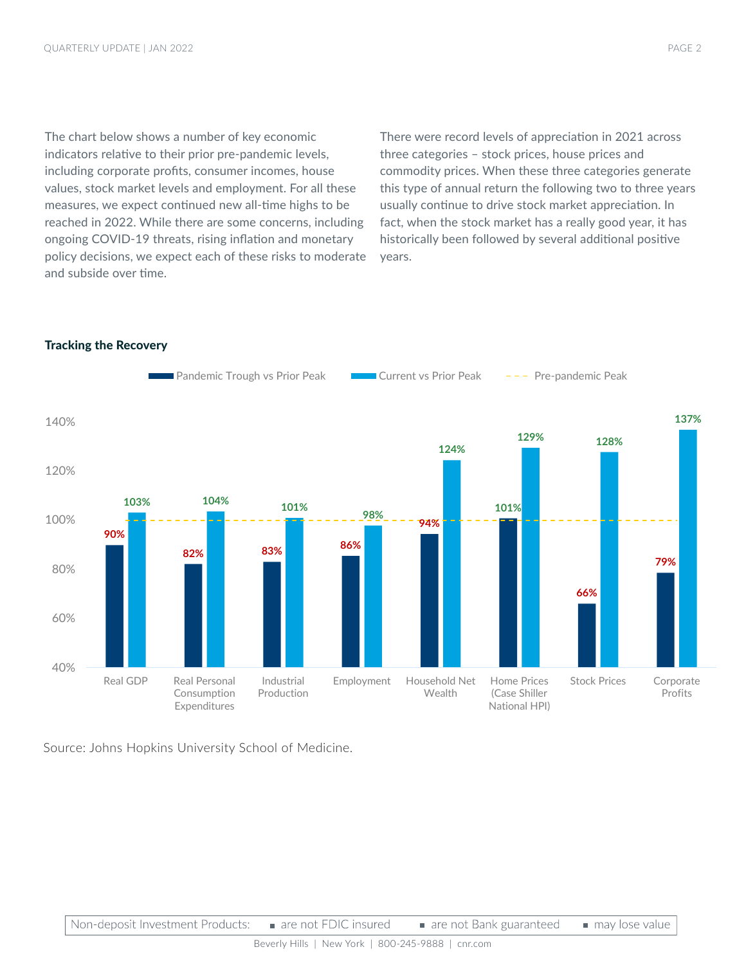The chart below shows a number of key economic indicators relative to their prior pre-pandemic levels, including corporate profits, consumer incomes, house values, stock market levels and employment. For all these measures, we expect continued new all-time highs to be reached in 2022. While there are some concerns, including ongoing COVID-19 threats, rising inflation and monetary policy decisions, we expect each of these risks to moderate and subside over time.

There were record levels of appreciation in 2021 across three categories – stock prices, house prices and commodity prices. When these three categories generate this type of annual return the following two to three years usually continue to drive stock market appreciation. In fact, when the stock market has a really good year, it has historically been followed by several additional positive years.



### Tracking the Recovery

Source: Johns Hopkins University School of Medicine.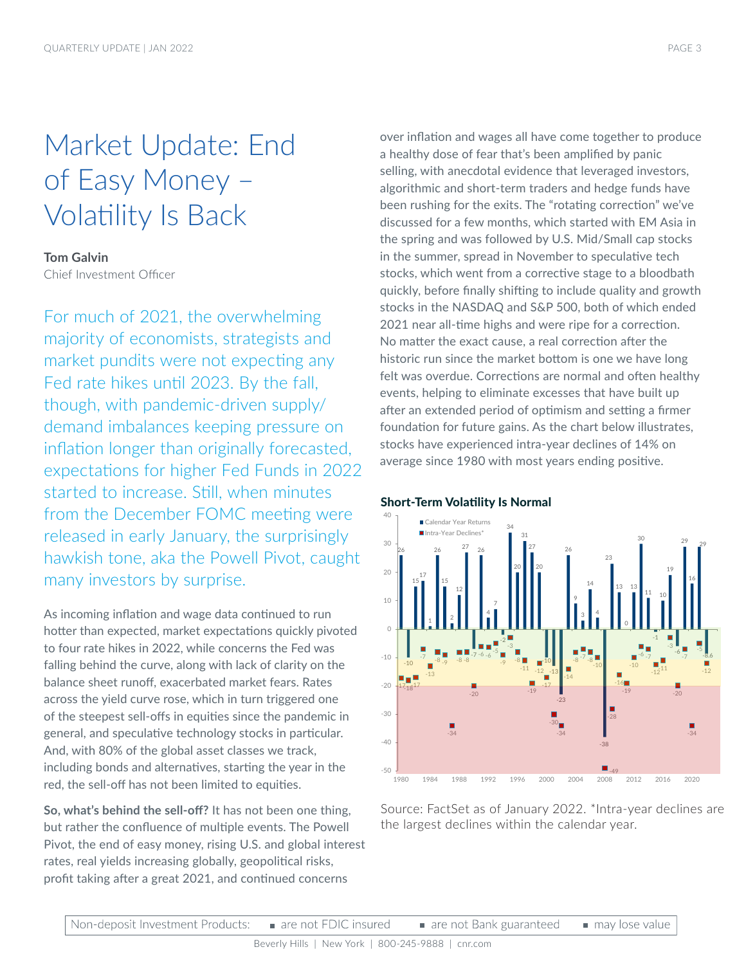### Market Update: End of Easy Money – Volatility Is Back

### **Tom Galvin**

Chief Investment Officer

For much of 2021, the overwhelming majority of economists, strategists and market pundits were not expecting any Fed rate hikes until 2023. By the fall, though, with pandemic-driven supply/ demand imbalances keeping pressure on inflation longer than originally forecasted, expectations for higher Fed Funds in 2022 started to increase. Still, when minutes from the December FOMC meeting were released in early January, the surprisingly hawkish tone, aka the Powell Pivot, caught many investors by surprise.

As incoming inflation and wage data continued to run hotter than expected, market expectations quickly pivoted to four rate hikes in 2022, while concerns the Fed was falling behind the curve, along with lack of clarity on the balance sheet runoff, exacerbated market fears. Rates across the yield curve rose, which in turn triggered one of the steepest sell-offs in equities since the pandemic in general, and speculative technology stocks in particular. And, with 80% of the global asset classes we track, including bonds and alternatives, starting the year in the red, the sell-off has not been limited to equities.

**So, what's behind the sell-off?** It has not been one thing, but rather the confluence of multiple events. The Powell Pivot, the end of easy money, rising U.S. and global interest rates, real yields increasing globally, geopolitical risks, profit taking after a great 2021, and continued concerns

over inflation and wages all have come together to produce a healthy dose of fear that's been amplified by panic selling, with anecdotal evidence that leveraged investors, algorithmic and short-term traders and hedge funds have been rushing for the exits. The "rotating correction" we've discussed for a few months, which started with EM Asia in the spring and was followed by U.S. Mid/Small cap stocks in the summer, spread in November to speculative tech stocks, which went from a corrective stage to a bloodbath quickly, before finally shifting to include quality and growth stocks in the NASDAQ and S&P 500, both of which ended 2021 near all-time highs and were ripe for a correction. No matter the exact cause, a real correction after the historic run since the market bottom is one we have long felt was overdue. Corrections are normal and often healthy events, helping to eliminate excesses that have built up after an extended period of optimism and setting a firmer foundation for future gains. As the chart below illustrates, stocks have experienced intra-year declines of 14% on average since 1980 with most years ending positive.



### Short-Term Volatility Is Normal

Source: FactSet as of January 2022. \*Intra-year declines are the largest declines within the calendar year.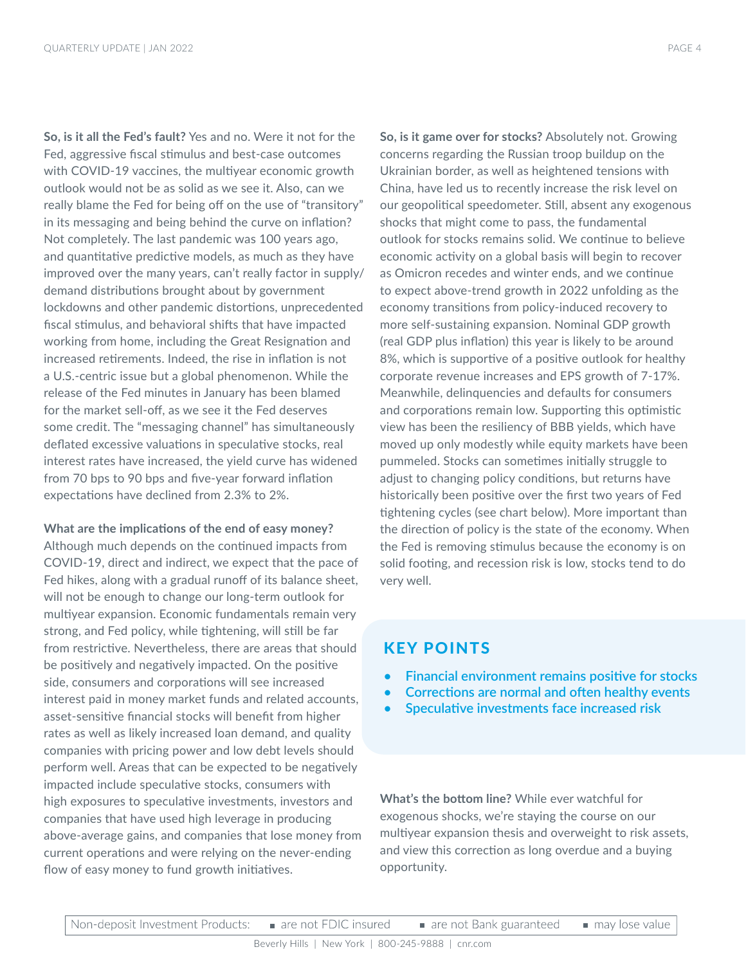**So, is it all the Fed's fault?** Yes and no. Were it not for the Fed, aggressive fiscal stimulus and best-case outcomes with COVID-19 vaccines, the multiyear economic growth outlook would not be as solid as we see it. Also, can we really blame the Fed for being off on the use of "transitory" in its messaging and being behind the curve on inflation? Not completely. The last pandemic was 100 years ago, and quantitative predictive models, as much as they have improved over the many years, can't really factor in supply/ demand distributions brought about by government lockdowns and other pandemic distortions, unprecedented fiscal stimulus, and behavioral shifts that have impacted working from home, including the Great Resignation and increased retirements. Indeed, the rise in inflation is not a U.S.-centric issue but a global phenomenon. While the release of the Fed minutes in January has been blamed for the market sell-off, as we see it the Fed deserves some credit. The "messaging channel" has simultaneously deflated excessive valuations in speculative stocks, real interest rates have increased, the yield curve has widened from 70 bps to 90 bps and five-year forward inflation expectations have declined from 2.3% to 2%.

### **What are the implications of the end of easy money?**

Although much depends on the continued impacts from COVID-19, direct and indirect, we expect that the pace of Fed hikes, along with a gradual runoff of its balance sheet, will not be enough to change our long-term outlook for multiyear expansion. Economic fundamentals remain very strong, and Fed policy, while tightening, will still be far from restrictive. Nevertheless, there are areas that should be positively and negatively impacted. On the positive side, consumers and corporations will see increased interest paid in money market funds and related accounts, asset-sensitive financial stocks will benefit from higher rates as well as likely increased loan demand, and quality companies with pricing power and low debt levels should perform well. Areas that can be expected to be negatively impacted include speculative stocks, consumers with high exposures to speculative investments, investors and companies that have used high leverage in producing above-average gains, and companies that lose money from current operations and were relying on the never-ending flow of easy money to fund growth initiatives.

**So, is it game over for stocks?** Absolutely not. Growing concerns regarding the Russian troop buildup on the Ukrainian border, as well as heightened tensions with China, have led us to recently increase the risk level on our geopolitical speedometer. Still, absent any exogenous shocks that might come to pass, the fundamental outlook for stocks remains solid. We continue to believe economic activity on a global basis will begin to recover as Omicron recedes and winter ends, and we continue to expect above-trend growth in 2022 unfolding as the economy transitions from policy-induced recovery to more self-sustaining expansion. Nominal GDP growth (real GDP plus inflation) this year is likely to be around 8%, which is supportive of a positive outlook for healthy corporate revenue increases and EPS growth of 7-17%. Meanwhile, delinquencies and defaults for consumers and corporations remain low. Supporting this optimistic view has been the resiliency of BBB yields, which have moved up only modestly while equity markets have been pummeled. Stocks can sometimes initially struggle to adjust to changing policy conditions, but returns have historically been positive over the first two years of Fed tightening cycles (see chart below). More important than the direction of policy is the state of the economy. When the Fed is removing stimulus because the economy is on solid footing, and recession risk is low, stocks tend to do

### KEY POINTS

very well.

- **• Financial environment remains positive for stocks**
- **• Corrections are normal and often healthy events**
- **• Speculative investments face increased risk**

**What's the bottom line?** While ever watchful for exogenous shocks, we're staying the course on our multiyear expansion thesis and overweight to risk assets, and view this correction as long overdue and a buying opportunity.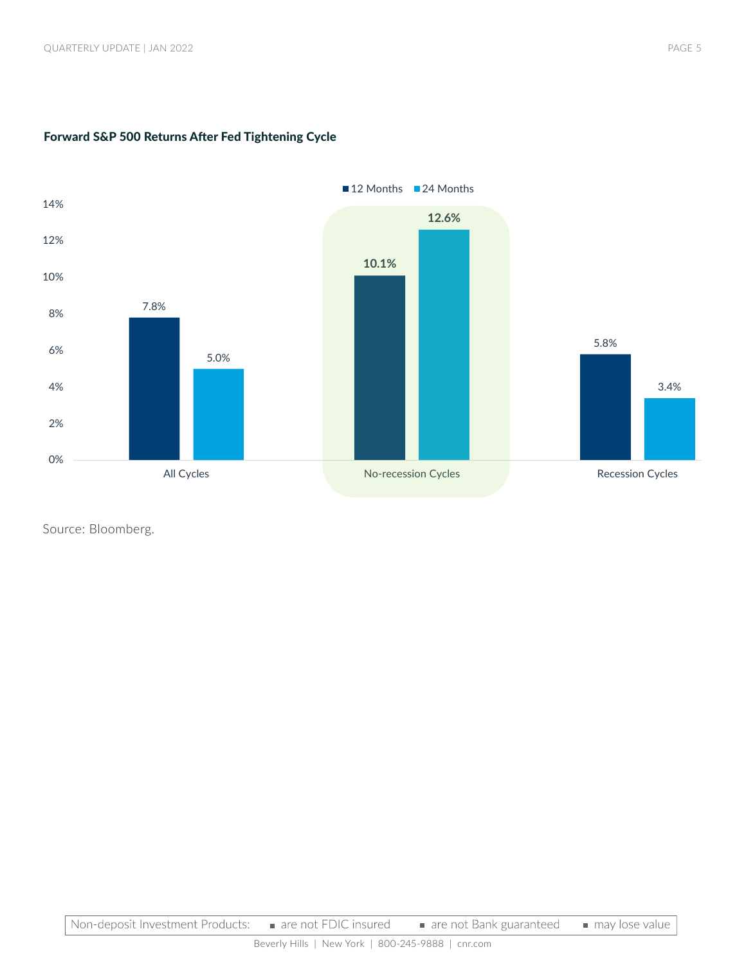

### Forward S&P 500 Returns After Fed Tightening Cycle

Source: Bloomberg.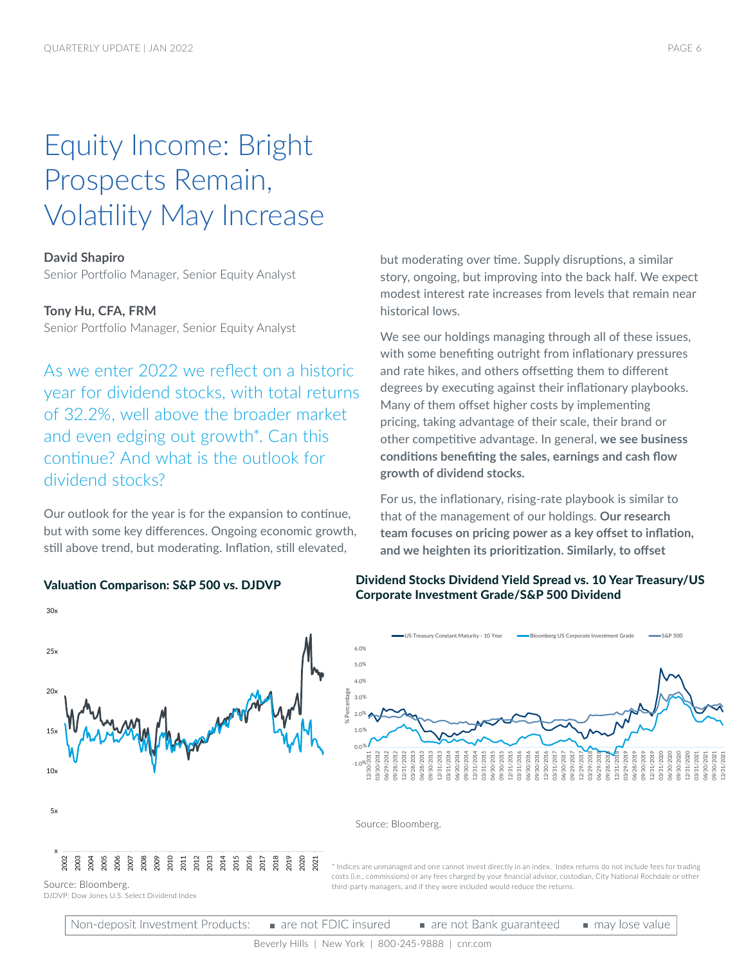## Equity Income: Bright Prospects Remain, Volatility May Increase

### **David Shapiro**

Senior Portfolio Manager, Senior Equity Analyst

### **Tony Hu, CFA, FRM**

Senior Portfolio Manager, Senior Equity Analyst

As we enter 2022 we reflect on a historic year for dividend stocks, with total returns of 32.2%, well above the broader market and even edging out growth\*. Can this continue? And what is the outlook for dividend stocks?

Our outlook for the year is for the expansion to continue, but with some key differences. Ongoing economic growth, still above trend, but moderating. Inflation, still elevated,

x 5x  $10x$  $15<sub>2</sub>$  $20<sub>2</sub>$ 25x 30x 200<br>2008<br>2007<br>2007 20<br>2008<br>2010 2011 2012 2013 2014 2015 2016 2017 2018 2019 2020 2021

but moderating over time. Supply disruptions, a similar story, ongoing, but improving into the back half. We expect modest interest rate increases from levels that remain near historical lows.

We see our holdings managing through all of these issues, with some benefiting outright from inflationary pressures and rate hikes, and others offsetting them to different degrees by executing against their inflationary playbooks. Many of them offset higher costs by implementing pricing, taking advantage of their scale, their brand or other competitive advantage. In general, **we see business conditions benefiting the sales, earnings and cash flow growth of dividend stocks.** 

For us, the inflationary, rising-rate playbook is similar to that of the management of our holdings. **Our research team focuses on pricing power as a key offset to inflation, and we heighten its prioritization. Similarly, to offset** 

### Valuation Comparison: S&P 500 vs. DJDVP Dividend Stocks Dividend Yield Spread vs. 10 Year Treasury/US Corporate Investment Grade/S&P 500 Dividend



Source: Bloomberg.

\* Indices are unmanaged and one cannot invest directly in an index. Index returns do not include fees for trading costs (i.e., commissions) or any fees charged by your financial advisor, custodian, City National Rochdale or other third-party managers, and if they were included would reduce the returns.

Source: Bloomberg. DJDVP: Dow Jones U.S. Select Dividend Index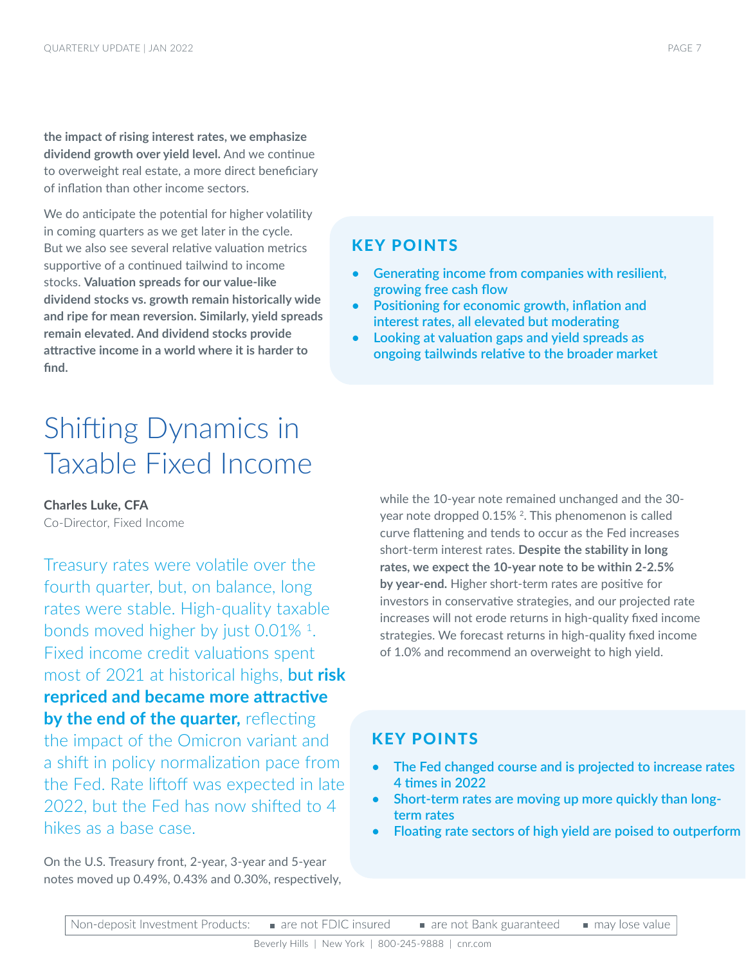**the impact of rising interest rates, we emphasize dividend growth over yield level.** And we continue to overweight real estate, a more direct beneficiary of inflation than other income sectors.

We do anticipate the potential for higher volatility in coming quarters as we get later in the cycle. But we also see several relative valuation metrics supportive of a continued tailwind to income stocks. **Valuation spreads for our value-like dividend stocks vs. growth remain historically wide and ripe for mean reversion. Similarly, yield spreads remain elevated. And dividend stocks provide attractive income in a world where it is harder to find.** 

### KEY POINTS

- **• Generating income from companies with resilient, growing free cash flow**
- **• Positioning for economic growth, inflation and interest rates, all elevated but moderating**
- **• Looking at valuation gaps and yield spreads as ongoing tailwinds relative to the broader market**

### Shifting Dynamics in Taxable Fixed Income

**Charles Luke, CFA**

Co-Director, Fixed Income

Treasury rates were volatile over the fourth quarter, but, on balance, long rates were stable. High-quality taxable bonds moved higher by just 0.01% 1. Fixed income credit valuations spent most of 2021 at historical highs, but **risk repriced and became more attractive by the end of the quarter,** reflecting the impact of the Omicron variant and a shift in policy normalization pace from the Fed. Rate liftoff was expected in late 2022, but the Fed has now shifted to 4 hikes as a base case.

On the U.S. Treasury front, 2-year, 3-year and 5-year notes moved up 0.49%, 0.43% and 0.30%, respectively, while the 10-year note remained unchanged and the 30 year note dropped 0.15%<sup>2</sup>. This phenomenon is called curve flattening and tends to occur as the Fed increases short-term interest rates. **Despite the stability in long rates, we expect the 10-year note to be within 2-2.5% by year-end.** Higher short-term rates are positive for investors in conservative strategies, and our projected rate increases will not erode returns in high-quality fixed income strategies. We forecast returns in high-quality fixed income of 1.0% and recommend an overweight to high yield.

### KEY POINTS

- **• The Fed changed course and is projected to increase rates 4 times in 2022**
- **• Short-term rates are moving up more quickly than longterm rates**
- **• Floating rate sectors of high yield are poised to outperform**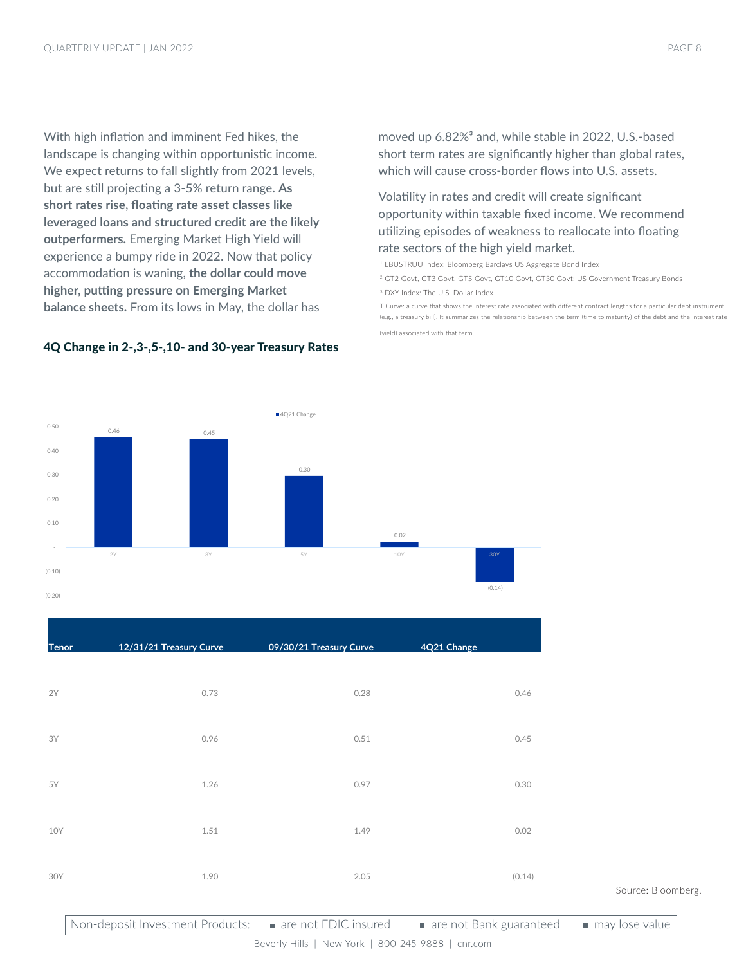With high inflation and imminent Fed hikes, the landscape is changing within opportunistic income. We expect returns to fall slightly from 2021 levels, but are still projecting a 3-5% return range. **As short rates rise, floating rate asset classes like leveraged loans and structured credit are the likely outperformers.** Emerging Market High Yield will experience a bumpy ride in 2022. Now that policy accommodation is waning, **the dollar could move higher, putting pressure on Emerging Market balance sheets.** From its lows in May, the dollar has

4Q Change in 2-,3-,5-,10- and 30-year Treasury Rates

0.46 0.45

 0.40 0.50 moved up 6.82%<sup>3</sup> and, while stable in 2022, U.S.-based short term rates are significantly higher than global rates, which will cause cross-border flows into U.S. assets.

### Volatility in rates and credit will create significant opportunity within taxable fixed income. We recommend utilizing episodes of weakness to reallocate into floating rate sectors of the high yield market.

<sup>1</sup> LBUSTRUU Index: Bloomberg Barclays US Aggregate Bond Index

<sup>2</sup> GT2 Govt, GT3 Govt, GT5 Govt, GT10 Govt, GT30 Govt: US Government Treasury Bonds

<sup>3</sup> DXY Index: The U.S. Dollar Index

T Curve: a curve that shows the interest rate associated with different contract lengths for a particular debt instrument (e.g., a treasury bill). It summarizes the relationship between the term (time to maturity) of the debt and the interest rate

(yield) associated with that term.



10Y 1.51 1.51 1.49 0.02

30Y 1.90 2.05 (0.14)

■4O21 Change

#### Source: Bloomberg.

Non-deposit Investment Products: are not FDIC insured are not Bank guaranteed may lose value

Beverly Hills | New York | 800-245-9888 | cnr.com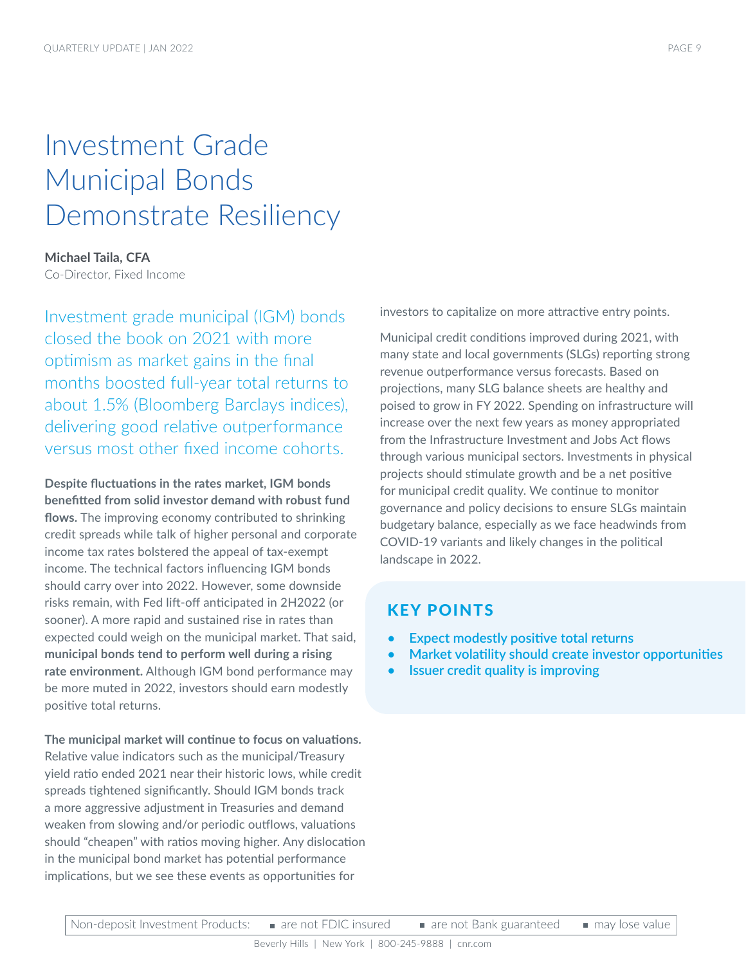### Investment Grade Municipal Bonds Demonstrate Resiliency

### **Michael Taila, CFA**

Co-Director, Fixed Income

Investment grade municipal (IGM) bonds closed the book on 2021 with more optimism as market gains in the final months boosted full-year total returns to about 1.5% (Bloomberg Barclays indices), delivering good relative outperformance versus most other fixed income cohorts.

**Despite fluctuations in the rates market, IGM bonds benefitted from solid investor demand with robust fund flows.** The improving economy contributed to shrinking credit spreads while talk of higher personal and corporate income tax rates bolstered the appeal of tax-exempt income. The technical factors influencing IGM bonds should carry over into 2022. However, some downside risks remain, with Fed lift-off anticipated in 2H2022 (or sooner). A more rapid and sustained rise in rates than expected could weigh on the municipal market. That said, **municipal bonds tend to perform well during a rising rate environment.** Although IGM bond performance may be more muted in 2022, investors should earn modestly positive total returns.

**The municipal market will continue to focus on valuations.**  Relative value indicators such as the municipal/Treasury yield ratio ended 2021 near their historic lows, while credit spreads tightened significantly. Should IGM bonds track a more aggressive adjustment in Treasuries and demand weaken from slowing and/or periodic outflows, valuations should "cheapen" with ratios moving higher. Any dislocation in the municipal bond market has potential performance implications, but we see these events as opportunities for

investors to capitalize on more attractive entry points.

Municipal credit conditions improved during 2021, with many state and local governments (SLGs) reporting strong revenue outperformance versus forecasts. Based on projections, many SLG balance sheets are healthy and poised to grow in FY 2022. Spending on infrastructure will increase over the next few years as money appropriated from the Infrastructure Investment and Jobs Act flows through various municipal sectors. Investments in physical projects should stimulate growth and be a net positive for municipal credit quality. We continue to monitor governance and policy decisions to ensure SLGs maintain budgetary balance, especially as we face headwinds from COVID-19 variants and likely changes in the political landscape in 2022.

### KEY POINTS

- **• Expect modestly positive total returns**
- **• Market volatility should create investor opportunities**
- **• Issuer credit quality is improving**

may lose value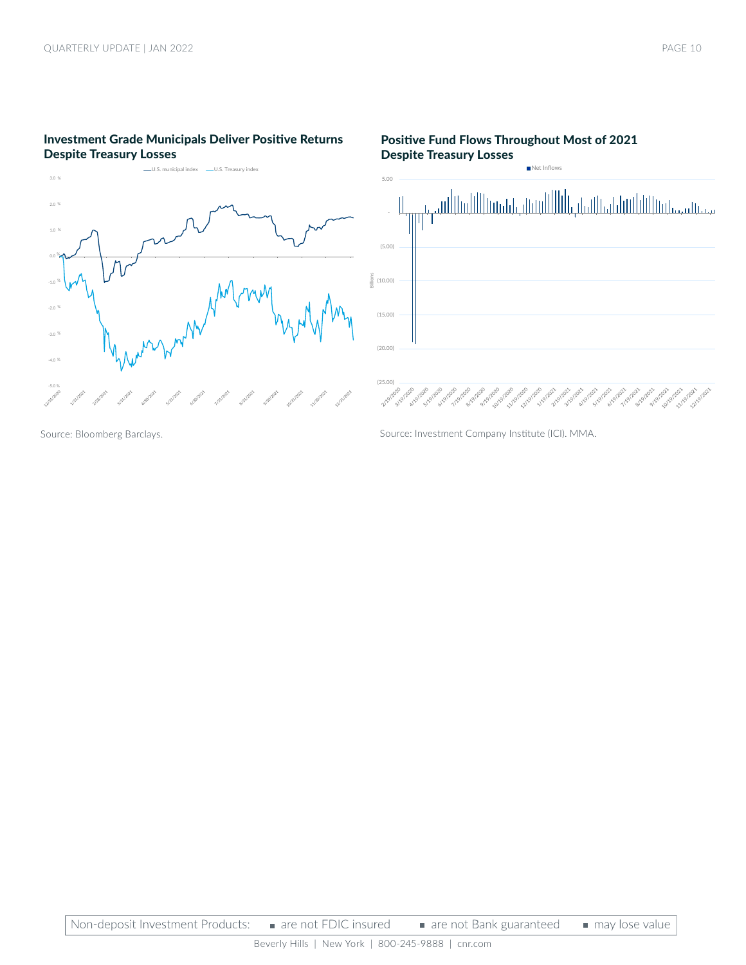### Investment Grade Municipals Deliver Positive Returns Despite Treasury Losses



#### Positive Fund Flows Throughout Most of 2021 Despite Treasury Losses Net Inflows





Source: Bloomberg Barclays.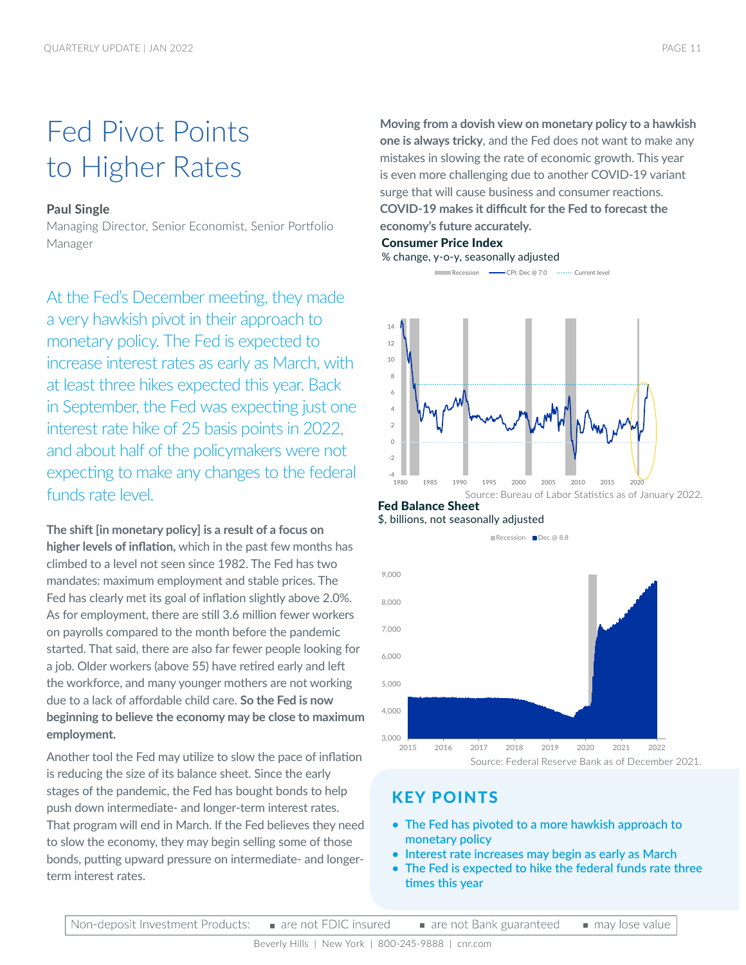### Fed Pivot Points to Higher Rates

### **Paul Single**

Managing Director, Senior Economist, Senior Portfolio Manager

At the Fed's December meeting, they made a very hawkish pivot in their approach to monetary policy. The Fed is expected to increase interest rates as early as March, with at least three hikes expected this year. Back in September, the Fed was expecting just one interest rate hike of 25 basis points in 2022, and about half of the policymakers were not expecting to make any changes to the federal funds rate level.

**The shift [in monetary policy] is a result of a focus on higher levels of inflation,** which in the past few months has climbed to a level not seen since 1982. The Fed has two mandates: maximum employment and stable prices. The Fed has clearly met its goal of inflation slightly above 2.0%. As for employment, there are still 3.6 million fewer workers on payrolls compared to the month before the pandemic started. That said, there are also far fewer people looking for a job. Older workers (above 55) have retired early and left the workforce, and many younger mothers are not working due to a lack of affordable child care. **So the Fed is now beginning to believe the economy may be close to maximum employment.** 

Another tool the Fed may utilize to slow the pace of inflation is reducing the size of its balance sheet. Since the early stages of the pandemic, the Fed has bought bonds to help push down intermediate- and longer-term interest rates. That program will end in March. If the Fed believes they need to slow the economy, they may begin selling some of those bonds, putting upward pressure on intermediate- and longerterm interest rates.

**Moving from a dovish view on monetary policy to a hawkish one is always tricky**, and the Fed does not want to make any mistakes in slowing the rate of economic growth. This year is even more challenging due to another COVID-19 variant surge that will cause business and consumer reactions. **COVID-19 makes it difficult for the Fed to forecast the economy's future accurately.**

### Consumer Price Index

% change, y-o-y, seasonally adjusted

Recession CPI: Dec @ 7.0 Current level



### Fed Balance Sheet





### KEY POINTS

- **• The Fed has pivoted to a more hawkish approach to monetary policy**
- **• Interest rate increases may begin as early as March**
- **• The Fed is expected to hike the federal funds rate three times this year**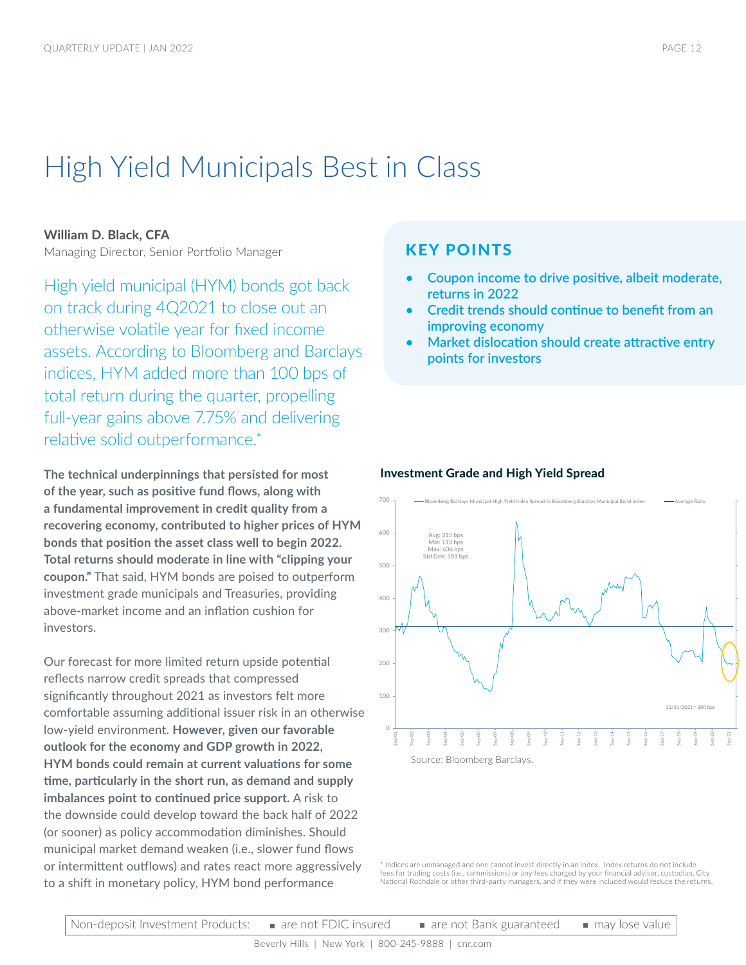### High Yield Municipals Best in Class

### **William D. Black, CFA**

Managing Director, Senior Portfolio Manager

High yield municipal (HYM) bonds got back on track during 4Q2021 to close out an otherwise volatile year for fixed income assets. According to Bloomberg and Barclays indices, HYM added more than 100 bps of total return during the quarter, propelling full-year gains above 7.75% and delivering relative solid outperformance.\*

**The technical underpinnings that persisted for most of the year, such as positive fund flows, along with a fundamental improvement in credit quality from a recovering economy, contributed to higher prices of HYM bonds that position the asset class well to begin 2022. Total returns should moderate in line with "clipping your coupon."** That said, HYM bonds are poised to outperform investment grade municipals and Treasuries, providing above-market income and an inflation cushion for investors.

Our forecast for more limited return upside potential reflects narrow credit spreads that compressed significantly throughout 2021 as investors felt more comfortable assuming additional issuer risk in an otherwise low-yield environment. **However, given our favorable outlook for the economy and GDP growth in 2022, HYM bonds could remain at current valuations for some time, particularly in the short run, as demand and supply imbalances point to continued price support.** A risk to the downside could develop toward the back half of 2022 (or sooner) as policy accommodation diminishes. Should municipal market demand weaken (i.e., slower fund flows or intermittent outflows) and rates react more aggressively to a shift in monetary policy, HYM bond performance

### KEY POINTS

- **• Coupon income to drive positive, albeit moderate, returns in 2022**
- **• Credit trends should continue to benefit from an improving economy**
- **• Market dislocation should create attractive entry points for investors**





\* Indices are unmanaged and one cannot invest directly in an index. Index returns do not include fees for trading costs (i.e., commissions) or any fees charged by your financial advisor, custodian, City National Rochdale or other third-party managers, and if they were included would reduce the returns.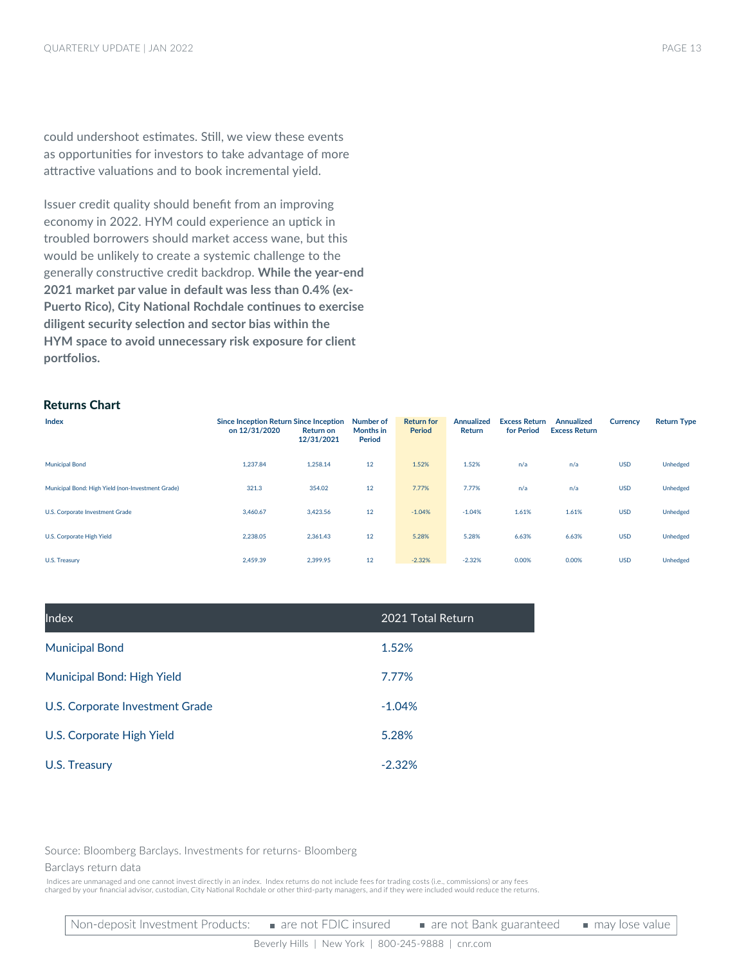could undershoot estimates. Still, we view these events as opportunities for investors to take advantage of more attractive valuations and to book incremental yield.

Issuer credit quality should benefit from an improving economy in 2022. HYM could experience an uptick in troubled borrowers should market access wane, but this would be unlikely to create a systemic challenge to the generally constructive credit backdrop. **While the year-end 2021 market par value in default was less than 0.4% (ex-Puerto Rico), City National Rochdale continues to exercise diligent security selection and sector bias within the HYM space to avoid unnecessary risk exposure for client portfolios.**

### Returns Chart

| Index                                             | <b>Since Inception Return Since Inception</b><br>on 12/31/2020 | <b>Return on</b><br>12/31/2021 | Number of<br>Months in<br>Period | <b>Return for</b><br>Period | <b>Annualized</b><br>Return | <b>Excess Return</b><br>for Period | <b>Annualized</b><br><b>Excess Return</b> | Currency   | <b>Return Type</b> |
|---------------------------------------------------|----------------------------------------------------------------|--------------------------------|----------------------------------|-----------------------------|-----------------------------|------------------------------------|-------------------------------------------|------------|--------------------|
| <b>Municipal Bond</b>                             | 1.237.84                                                       | 1,258.14                       | 12                               | 1.52%                       | 1.52%                       | n/a                                | n/a                                       | <b>USD</b> | Unhedged           |
| Municipal Bond: High Yield (non-Investment Grade) | 321.3                                                          | 354.02                         | 12                               | 7.77%                       | 7.77%                       | n/a                                | n/a                                       | <b>USD</b> | Unhedged           |
| U.S. Corporate Investment Grade                   | 3.460.67                                                       | 3,423.56                       | 12                               | $-1.04%$                    | $-1.04%$                    | 1.61%                              | 1.61%                                     | <b>USD</b> | Unhedged           |
| U.S. Corporate High Yield                         | 2,238.05                                                       | 2,361.43                       | 12                               | 5.28%                       | 5.28%                       | 6.63%                              | 6.63%                                     | <b>USD</b> | Unhedged           |
| U.S. Treasury                                     | 2.459.39                                                       | 2,399.95                       | 12                               | $-2.32%$                    | $-2.32%$                    | 0.00%                              | 0.00%                                     | <b>USD</b> | Unhedged           |

| Index                           | 2021 Total Return |
|---------------------------------|-------------------|
| <b>Municipal Bond</b>           | 1.52%             |
| Municipal Bond: High Yield      | 7.77%             |
| U.S. Corporate Investment Grade | $-1.04%$          |
| U.S. Corporate High Yield       | 5.28%             |
| U.S. Treasury                   | $-2.32%$          |

Source: Bloomberg Barclays. Investments for returns- Bloomberg

#### Barclays return data

 Indices are unmanaged and one cannot invest directly in an index. Index returns do not include fees for trading costs (i.e., commissions) or any fees charged by your financial advisor, custodian, City National Rochdale or other third-party managers, and if they were included would reduce the returns.